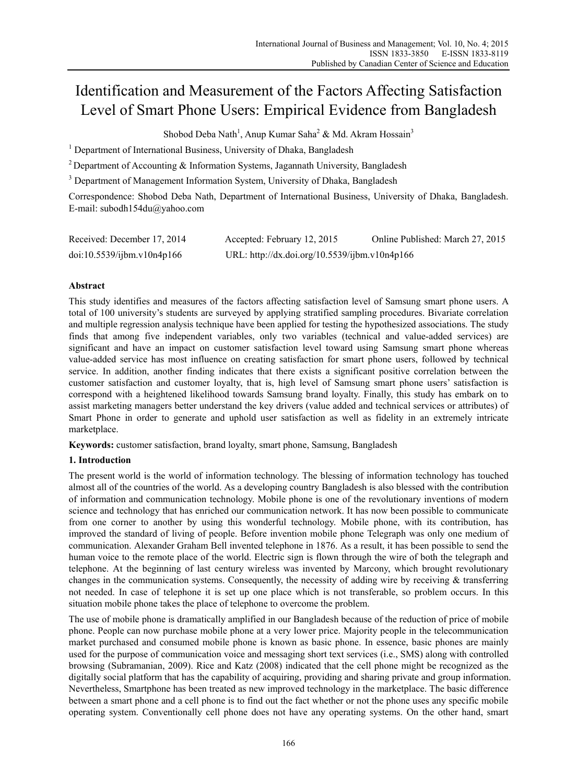# Identification and Measurement of the Factors Affecting Satisfaction Level of Smart Phone Users: Empirical Evidence from Bangladesh

Shobod Deba Nath<sup>1</sup>, Anup Kumar Saha<sup>2</sup> & Md. Akram Hossain<sup>3</sup>

<sup>1</sup> Department of International Business, University of Dhaka, Bangladesh

<sup>2</sup> Department of Accounting & Information Systems, Jagannath University, Bangladesh

<sup>3</sup> Department of Management Information System, University of Dhaka, Bangladesh

Correspondence: Shobod Deba Nath, Department of International Business, University of Dhaka, Bangladesh. E-mail: subodh154du@yahoo.com

| Received: December 17, 2014 | Accepted: February 12, 2015                   | Online Published: March 27, 2015 |
|-----------------------------|-----------------------------------------------|----------------------------------|
| doi:10.5539/ijbm.v10n4p166  | URL: http://dx.doi.org/10.5539/ijbm.v10n4p166 |                                  |

## **Abstract**

This study identifies and measures of the factors affecting satisfaction level of Samsung smart phone users. A total of 100 university's students are surveyed by applying stratified sampling procedures. Bivariate correlation and multiple regression analysis technique have been applied for testing the hypothesized associations. The study finds that among five independent variables, only two variables (technical and value-added services) are significant and have an impact on customer satisfaction level toward using Samsung smart phone whereas value-added service has most influence on creating satisfaction for smart phone users, followed by technical service. In addition, another finding indicates that there exists a significant positive correlation between the customer satisfaction and customer loyalty, that is, high level of Samsung smart phone users' satisfaction is correspond with a heightened likelihood towards Samsung brand loyalty. Finally, this study has embark on to assist marketing managers better understand the key drivers (value added and technical services or attributes) of Smart Phone in order to generate and uphold user satisfaction as well as fidelity in an extremely intricate marketplace.

**Keywords:** customer satisfaction, brand loyalty, smart phone, Samsung, Bangladesh

## **1. Introduction**

The present world is the world of information technology. The blessing of information technology has touched almost all of the countries of the world. As a developing country Bangladesh is also blessed with the contribution of information and communication technology. Mobile phone is one of the revolutionary inventions of modern science and technology that has enriched our communication network. It has now been possible to communicate from one corner to another by using this wonderful technology. Mobile phone, with its contribution, has improved the standard of living of people. Before invention mobile phone Telegraph was only one medium of communication. Alexander Graham Bell invented telephone in 1876. As a result, it has been possible to send the human voice to the remote place of the world. Electric sign is flown through the wire of both the telegraph and telephone. At the beginning of last century wireless was invented by Marcony, which brought revolutionary changes in the communication systems. Consequently, the necessity of adding wire by receiving  $\&$  transferring not needed. In case of telephone it is set up one place which is not transferable, so problem occurs. In this situation mobile phone takes the place of telephone to overcome the problem.

The use of mobile phone is dramatically amplified in our Bangladesh because of the reduction of price of mobile phone. People can now purchase mobile phone at a very lower price. Majority people in the telecommunication market purchased and consumed mobile phone is known as basic phone. In essence, basic phones are mainly used for the purpose of communication voice and messaging short text services (i.e., SMS) along with controlled browsing (Subramanian, 2009). Rice and Katz (2008) indicated that the cell phone might be recognized as the digitally social platform that has the capability of acquiring, providing and sharing private and group information. Nevertheless, Smartphone has been treated as new improved technology in the marketplace. The basic difference between a smart phone and a cell phone is to find out the fact whether or not the phone uses any specific mobile operating system. Conventionally cell phone does not have any operating systems. On the other hand, smart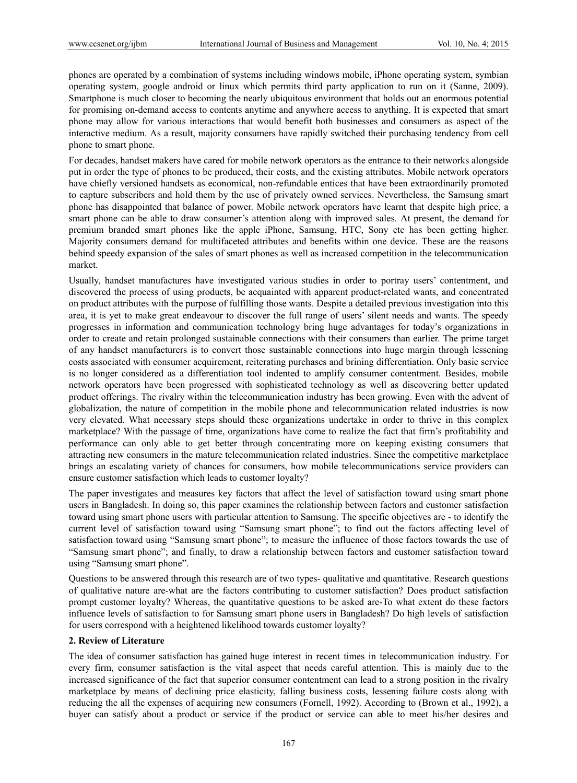phones are operated by a combination of systems including windows mobile, iPhone operating system, symbian operating system, google android or linux which permits third party application to run on it (Sanne, 2009). Smartphone is much closer to becoming the nearly ubiquitous environment that holds out an enormous potential for promising on-demand access to contents anytime and anywhere access to anything. It is expected that smart phone may allow for various interactions that would benefit both businesses and consumers as aspect of the interactive medium. As a result, majority consumers have rapidly switched their purchasing tendency from cell phone to smart phone.

For decades, handset makers have cared for mobile network operators as the entrance to their networks alongside put in order the type of phones to be produced, their costs, and the existing attributes. Mobile network operators have chiefly versioned handsets as economical, non-refundable entices that have been extraordinarily promoted to capture subscribers and hold them by the use of privately owned services. Nevertheless, the Samsung smart phone has disappointed that balance of power. Mobile network operators have learnt that despite high price, a smart phone can be able to draw consumer's attention along with improved sales. At present, the demand for premium branded smart phones like the apple iPhone, Samsung, HTC, Sony etc has been getting higher. Majority consumers demand for multifaceted attributes and benefits within one device. These are the reasons behind speedy expansion of the sales of smart phones as well as increased competition in the telecommunication market.

Usually, handset manufactures have investigated various studies in order to portray users' contentment, and discovered the process of using products, be acquainted with apparent product-related wants, and concentrated on product attributes with the purpose of fulfilling those wants. Despite a detailed previous investigation into this area, it is yet to make great endeavour to discover the full range of users' silent needs and wants. The speedy progresses in information and communication technology bring huge advantages for today's organizations in order to create and retain prolonged sustainable connections with their consumers than earlier. The prime target of any handset manufacturers is to convert those sustainable connections into huge margin through lessening costs associated with consumer acquirement, reiterating purchases and brining differentiation. Only basic service is no longer considered as a differentiation tool indented to amplify consumer contentment. Besides, mobile network operators have been progressed with sophisticated technology as well as discovering better updated product offerings. The rivalry within the telecommunication industry has been growing. Even with the advent of globalization, the nature of competition in the mobile phone and telecommunication related industries is now very elevated. What necessary steps should these organizations undertake in order to thrive in this complex marketplace? With the passage of time, organizations have come to realize the fact that firm's profitability and performance can only able to get better through concentrating more on keeping existing consumers that attracting new consumers in the mature telecommunication related industries. Since the competitive marketplace brings an escalating variety of chances for consumers, how mobile telecommunications service providers can ensure customer satisfaction which leads to customer loyalty?

The paper investigates and measures key factors that affect the level of satisfaction toward using smart phone users in Bangladesh. In doing so, this paper examines the relationship between factors and customer satisfaction toward using smart phone users with particular attention to Samsung. The specific objectives are - to identify the current level of satisfaction toward using "Samsung smart phone"; to find out the factors affecting level of satisfaction toward using "Samsung smart phone"; to measure the influence of those factors towards the use of "Samsung smart phone"; and finally, to draw a relationship between factors and customer satisfaction toward using "Samsung smart phone".

Questions to be answered through this research are of two types- qualitative and quantitative. Research questions of qualitative nature are-what are the factors contributing to customer satisfaction? Does product satisfaction prompt customer loyalty? Whereas, the quantitative questions to be asked are-To what extent do these factors influence levels of satisfaction to for Samsung smart phone users in Bangladesh? Do high levels of satisfaction for users correspond with a heightened likelihood towards customer loyalty?

## **2. Review of Literature**

The idea of consumer satisfaction has gained huge interest in recent times in telecommunication industry. For every firm, consumer satisfaction is the vital aspect that needs careful attention. This is mainly due to the increased significance of the fact that superior consumer contentment can lead to a strong position in the rivalry marketplace by means of declining price elasticity, falling business costs, lessening failure costs along with reducing the all the expenses of acquiring new consumers (Fornell, 1992). According to (Brown et al., 1992), a buyer can satisfy about a product or service if the product or service can able to meet his/her desires and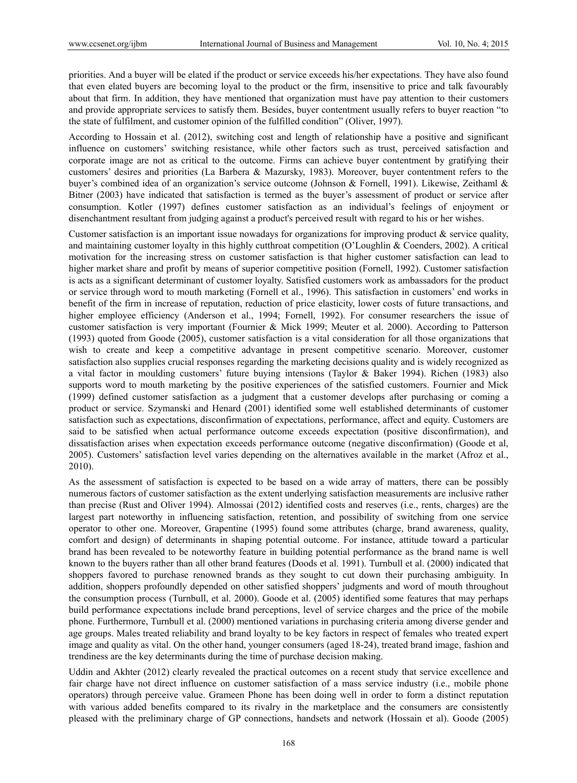priorities. And a buyer will be elated if the product or service exceeds his/her expectations. They have also found that even elated buyers are becoming loyal to the product or the firm, insensitive to price and talk favourably about that firm. In addition, they have mentioned that organization must have pay attention to their customers and provide appropriate services to satisfy them. Besides, buyer contentment usually refers to buyer reaction "to the state of fulfilment, and customer opinion of the fulfilled condition" (Oliver, 1997).

According to Hossain et al. (2012), switching cost and length of relationship have a positive and significant influence on customers' switching resistance, while other factors such as trust, perceived satisfaction and corporate image are not as critical to the outcome. Firms can achieve buyer contentment by gratifying their customers' desires and priorities (La Barbera & Mazursky, 1983). Moreover, buyer contentment refers to the buyer's combined idea of an organization's service outcome (Johnson & Fornell, 1991). Likewise, Zeithaml & Bitner (2003) have indicated that satisfaction is termed as the buyer's assessment of product or service after consumption. Kotler (1997) defines customer satisfaction as an individual's feelings of enjoyment or disenchantment resultant from judging against a product's perceived result with regard to his or her wishes.

Customer satisfaction is an important issue nowadays for organizations for improving product  $\&$  service quality, and maintaining customer loyalty in this highly cutthroat competition (O'Loughlin & Coenders, 2002). A critical motivation for the increasing stress on customer satisfaction is that higher customer satisfaction can lead to higher market share and profit by means of superior competitive position (Fornell, 1992). Customer satisfaction is acts as a significant determinant of customer loyalty. Satisfied customers work as ambassadors for the product or service through word to mouth marketing (Fornell et al., 1996). This satisfaction in customers' end works in benefit of the firm in increase of reputation, reduction of price elasticity, lower costs of future transactions, and higher employee efficiency (Anderson et al., 1994; Fornell, 1992). For consumer researchers the issue of customer satisfaction is very important (Fournier & Mick 1999; Meuter et al. 2000). According to Patterson (1993) quoted from Goode (2005), customer satisfaction is a vital consideration for all those organizations that wish to create and keep a competitive advantage in present competitive scenario. Moreover, customer satisfaction also supplies crucial responses regarding the marketing decisions quality and is widely recognized as a vital factor in moulding customers' future buying intensions (Taylor & Baker 1994). Richen (1983) also supports word to mouth marketing by the positive experiences of the satisfied customers. Fournier and Mick (1999) defined customer satisfaction as a judgment that a customer develops after purchasing or coming a product or service. Szymanski and Henard (2001) identified some well established determinants of customer satisfaction such as expectations, disconfirmation of expectations, performance, affect and equity. Customers are said to be satisfied when actual performance outcome exceeds expectation (positive disconfirmation), and dissatisfaction arises when expectation exceeds performance outcome (negative disconfirmation) (Goode et al, 2005). Customers' satisfaction level varies depending on the alternatives available in the market (Afroz et al., 2010).

As the assessment of satisfaction is expected to be based on a wide array of matters, there can be possibly numerous factors of customer satisfaction as the extent underlying satisfaction measurements are inclusive rather than precise (Rust and Oliver 1994). Almossai (2012) identified costs and reserves (i.e., rents, charges) are the largest part noteworthy in influencing satisfaction, retention, and possibility of switching from one service operator to other one. Moreover, Grapentine (1995) found some attributes (charge, brand awareness, quality, comfort and design) of determinants in shaping potential outcome. For instance, attitude toward a particular brand has been revealed to be noteworthy feature in building potential performance as the brand name is well known to the buyers rather than all other brand features (Doods et al. 1991). Turnbull et al. (2000) indicated that shoppers favored to purchase renowned brands as they sought to cut down their purchasing ambiguity. In addition, shoppers profoundly depended on other satisfied shoppers' judgments and word of mouth throughout the consumption process (Turnbull, et al. 2000). Goode et al. (2005) identified some features that may perhaps build performance expectations include brand perceptions, level of service charges and the price of the mobile phone. Furthermore, Turnbull et al. (2000) mentioned variations in purchasing criteria among diverse gender and age groups. Males treated reliability and brand loyalty to be key factors in respect of females who treated expert image and quality as vital. On the other hand, younger consumers (aged 18-24), treated brand image, fashion and trendiness are the key determinants during the time of purchase decision making.

Uddin and Akhter (2012) clearly revealed the practical outcomes on a recent study that service excellence and fair charge have not direct influence on customer satisfaction of a mass service industry (i.e., mobile phone operators) through perceive value. Grameen Phone has been doing well in order to form a distinct reputation with various added benefits compared to its rivalry in the marketplace and the consumers are consistently pleased with the preliminary charge of GP connections, handsets and network (Hossain et al). Goode (2005)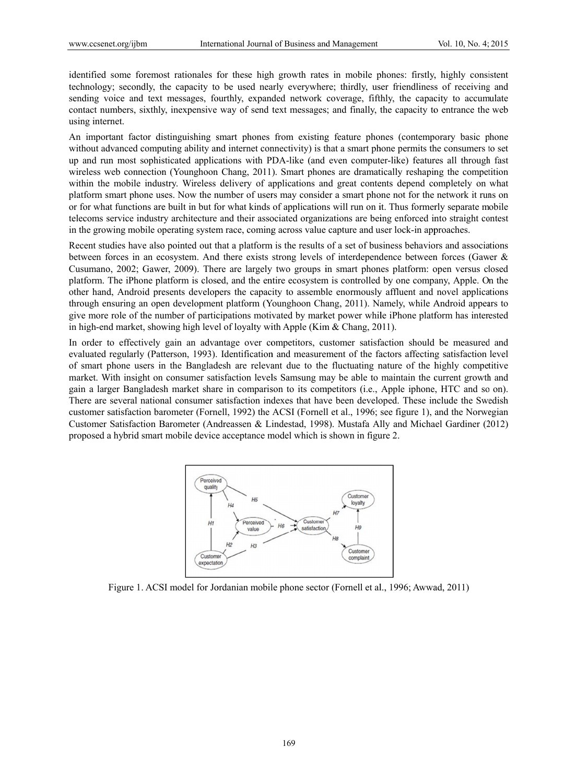identified some foremost rationales for these high growth rates in mobile phones: firstly, highly consistent technology; secondly, the capacity to be used nearly everywhere; thirdly, user friendliness of receiving and sending voice and text messages, fourthly, expanded network coverage, fifthly, the capacity to accumulate contact numbers, sixthly, inexpensive way of send text messages; and finally, the capacity to entrance the web using internet.

An important factor distinguishing smart phones from existing feature phones (contemporary basic phone without advanced computing ability and internet connectivity) is that a smart phone permits the consumers to set up and run most sophisticated applications with PDA-like (and even computer-like) features all through fast wireless web connection (Younghoon Chang, 2011). Smart phones are dramatically reshaping the competition within the mobile industry. Wireless delivery of applications and great contents depend completely on what platform smart phone uses. Now the number of users may consider a smart phone not for the network it runs on or for what functions are built in but for what kinds of applications will run on it. Thus formerly separate mobile telecoms service industry architecture and their associated organizations are being enforced into straight contest in the growing mobile operating system race, coming across value capture and user lock-in approaches.

Recent studies have also pointed out that a platform is the results of a set of business behaviors and associations between forces in an ecosystem. And there exists strong levels of interdependence between forces (Gawer & Cusumano, 2002; Gawer, 2009). There are largely two groups in smart phones platform; open versus closed platform. The iPhone platform is closed, and the entire ecosystem is controlled by one company, Apple. On the other hand. Android presents developers the capacity to assemble enormously affluent and novel applications through ensuring an open development platform (Younghoon Chang, 2011). Namely, while Android appears to give more role of the number of participations motivated by market power while iPhone platform has interested in high-end market, showing high level of loyalty with Apple (Kim & Chang, 2011).

In order to effectively gain an advantage over competitors, customer satisfaction should be measured and evaluated regularly (Patterson, 1993). Identification and measurement of the factors affecting satisfaction level of smart phone users in the Bangladesh are relevant due to the fluctuating nature of the highly competitive market. With insight on consumer satisfaction levels Samsung may be able to maintain the current growth and gain a larger Bangladesh market share in comparison to its competitors (i.e., Apple iphone, HTC and so on). There are several national consumer satisfaction indexes that have been developed. These include the Swedish customer satisfaction barometer (Fornell, 1992) the ACSI (Fornell et al., 1996; see figure 1), and the Norwegian Customer Satisfaction Barometer (Andreassen & Lindestad, 1998). Mustafa Ally and Michael Gardiner (2012) proposed a hybrid smart mobile device acceptance model which is shown in figure 2.



Figure 1. ACSI model for Jordanian mobile phone sector (Fornell et al., 1996; Awwad, 2011)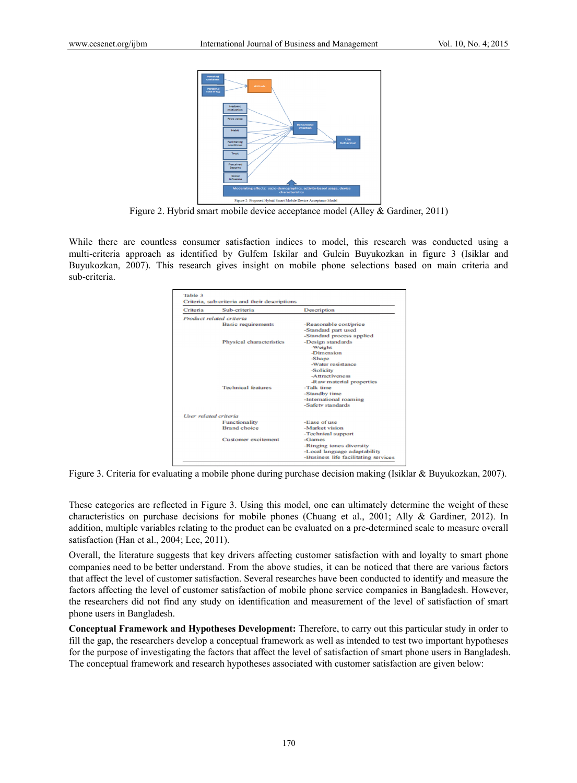

Figure 2. Hybrid smart mobile device acceptance model (Alley & Gardiner, 2011)

While there are countless consumer satisfaction indices to model, this research was conducted using a multi-criteria approach as identified by Gulfem Iskilar and Gulcin Buyukozkan in figure 3 (Isiklar and Buyukozkan, 2007). This research gives insight on mobile phone selections based on main criteria and sub-criteria.

| Criteria              | Sub-criteria              | Description                          |
|-----------------------|---------------------------|--------------------------------------|
|                       | Product related criteria  |                                      |
|                       | <b>Basic requirements</b> | -Reasonable cost/price               |
|                       |                           | -Standard part used                  |
|                       |                           | -Standard process applied            |
|                       | Physical characteristics  | -Design standards                    |
|                       |                           | -Weight                              |
|                       |                           | <b>Dimension</b>                     |
|                       |                           | -Shape                               |
|                       |                           | -Water resistance                    |
|                       |                           | -Solidity                            |
|                       |                           | -Attractiveness                      |
|                       |                           | -Raw material properties             |
|                       | <b>Technical features</b> | -Talk time                           |
|                       |                           | -Standby time                        |
|                       |                           | -International roaming               |
|                       |                           | -Safety standards                    |
| User related criteria |                           |                                      |
|                       | Functionality             | -Ease of use                         |
|                       | <b>Brand</b> choice       | -Market vision                       |
|                       |                           | -Technical support                   |
|                       | Customer excitement       | $-Games$                             |
|                       |                           | -Ringing tones diversity             |
|                       |                           | -Local language adaptability         |
|                       |                           | -Business life facilitating services |

Figure 3. Criteria for evaluating a mobile phone during purchase decision making (Isiklar & Buyukozkan, 2007).

These categories are reflected in Figure 3. Using this model, one can ultimately determine the weight of these characteristics on purchase decisions for mobile phones (Chuang et al., 2001; Ally & Gardiner, 2012). In addition, multiple variables relating to the product can be evaluated on a pre-determined scale to measure overall satisfaction (Han et al., 2004; Lee, 2011).

Overall, the literature suggests that key drivers affecting customer satisfaction with and loyalty to smart phone companies need to be better understand. From the above studies, it can be noticed that there are various factors that affect the level of customer satisfaction. Several researches have been conducted to identify and measure the factors affecting the level of customer satisfaction of mobile phone service companies in Bangladesh. However, the researchers did not find any study on identification and measurement of the level of satisfaction of smart phone users in Bangladesh.

**Conceptual Framework and Hypotheses Development:** Therefore, to carry out this particular study in order to fill the gap, the researchers develop a conceptual framework as well as intended to test two important hypotheses for the purpose of investigating the factors that affect the level of satisfaction of smart phone users in Bangladesh. The conceptual framework and research hypotheses associated with customer satisfaction are given below: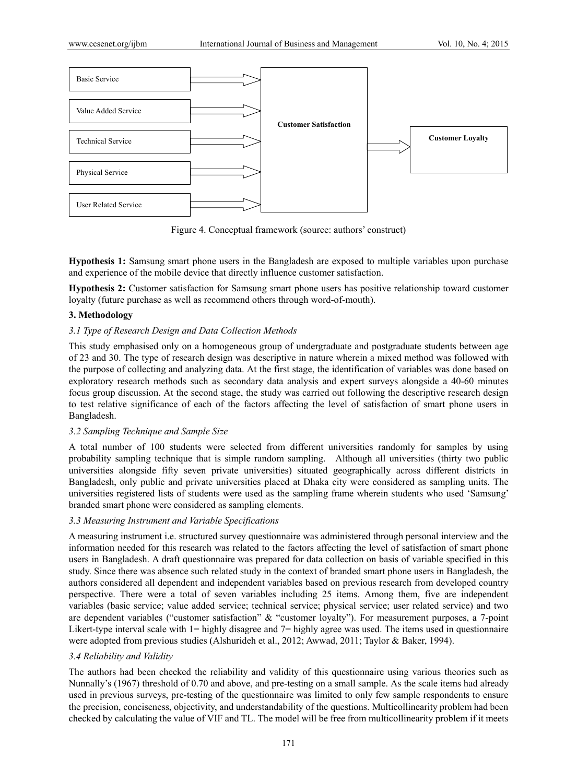

Figure 4. Conceptual framework (source: authors' construct)

**Hypothesis 1:** Samsung smart phone users in the Bangladesh are exposed to multiple variables upon purchase and experience of the mobile device that directly influence customer satisfaction.

**Hypothesis 2:** Customer satisfaction for Samsung smart phone users has positive relationship toward customer loyalty (future purchase as well as recommend others through word-of-mouth).

## **3. Methodology**

## *3.1 Type of Research Design and Data Collection Methods*

This study emphasised only on a homogeneous group of undergraduate and postgraduate students between age of 23 and 30. The type of research design was descriptive in nature wherein a mixed method was followed with the purpose of collecting and analyzing data. At the first stage, the identification of variables was done based on exploratory research methods such as secondary data analysis and expert surveys alongside a 40-60 minutes focus group discussion. At the second stage, the study was carried out following the descriptive research design to test relative significance of each of the factors affecting the level of satisfaction of smart phone users in Bangladesh.

## *3.2 Sampling Technique and Sample Size*

A total number of 100 students were selected from different universities randomly for samples by using probability sampling technique that is simple random sampling. Although all universities (thirty two public universities alongside fifty seven private universities) situated geographically across different districts in Bangladesh, only public and private universities placed at Dhaka city were considered as sampling units. The universities registered lists of students were used as the sampling frame wherein students who used 'Samsung' branded smart phone were considered as sampling elements.

## *3.3 Measuring Instrument and Variable Specifications*

A measuring instrument i.e. structured survey questionnaire was administered through personal interview and the information needed for this research was related to the factors affecting the level of satisfaction of smart phone users in Bangladesh. A draft questionnaire was prepared for data collection on basis of variable specified in this study. Since there was absence such related study in the context of branded smart phone users in Bangladesh, the authors considered all dependent and independent variables based on previous research from developed country perspective. There were a total of seven variables including 25 items. Among them, five are independent variables (basic service; value added service; technical service; physical service; user related service) and two are dependent variables ("customer satisfaction" & "customer loyalty"). For measurement purposes, a 7-point Likert-type interval scale with 1= highly disagree and 7= highly agree was used. The items used in questionnaire were adopted from previous studies (Alshurideh et al., 2012; Awwad, 2011; Taylor & Baker, 1994).

## *3.4 Reliability and Validity*

The authors had been checked the reliability and validity of this questionnaire using various theories such as Nunnally's (1967) threshold of 0.70 and above, and pre-testing on a small sample. As the scale items had already used in previous surveys, pre-testing of the questionnaire was limited to only few sample respondents to ensure the precision, conciseness, objectivity, and understandability of the questions. Multicollinearity problem had been checked by calculating the value of VIF and TL. The model will be free from multicollinearity problem if it meets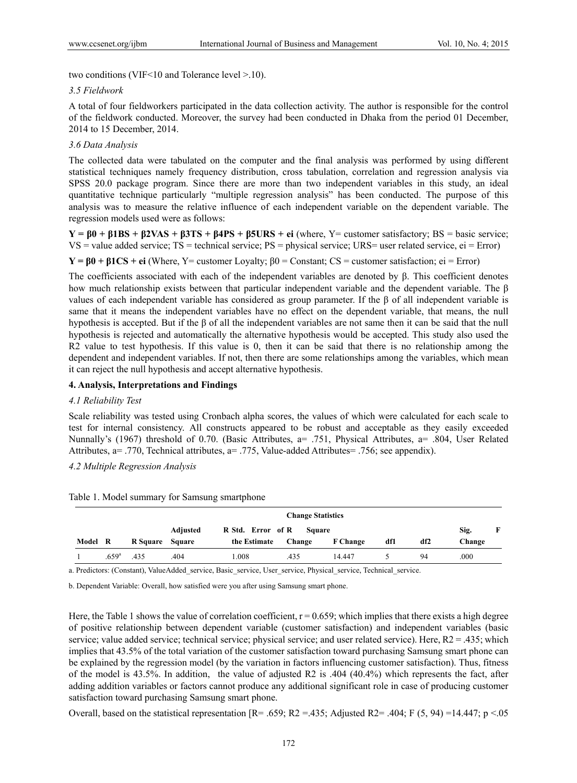two conditions (VIF<10 and Tolerance level >.10).

#### *3.5 Fieldwork*

A total of four fieldworkers participated in the data collection activity. The author is responsible for the control of the fieldwork conducted. Moreover, the survey had been conducted in Dhaka from the period 01 December, 2014 to 15 December, 2014.

## *3.6 Data Analysis*

The collected data were tabulated on the computer and the final analysis was performed by using different statistical techniques namely frequency distribution, cross tabulation, correlation and regression analysis via SPSS 20.0 package program. Since there are more than two independent variables in this study, an ideal quantitative technique particularly "multiple regression analysis" has been conducted. The purpose of this analysis was to measure the relative influence of each independent variable on the dependent variable. The regression models used were as follows:

 $Y = B0 + B1BS + B2VAS + B3TS + B4PS + B5URS + ei$  (where, Y= customer satisfactory; BS = basic service; VS = value added service; TS = technical service; PS = physical service; URS= user related service, ei = Error)

 $Y = β0 + β1CS + ei$  (Where, Y= customer Loyalty;  $β0 =$  Constant; CS = customer satisfaction; ei = Error)

The coefficients associated with each of the independent variables are denoted by β. This coefficient denotes how much relationship exists between that particular independent variable and the dependent variable. The β values of each independent variable has considered as group parameter. If the β of all independent variable is same that it means the independent variables have no effect on the dependent variable, that means, the null hypothesis is accepted. But if the β of all the independent variables are not same then it can be said that the null hypothesis is rejected and automatically the alternative hypothesis would be accepted. This study also used the R2 value to test hypothesis. If this value is 0, then it can be said that there is no relationship among the dependent and independent variables. If not, then there are some relationships among the variables, which mean it can reject the null hypothesis and accept alternative hypothesis.

## **4. Analysis, Interpretations and Findings**

## *4.1 Reliability Test*

Scale reliability was tested using Cronbach alpha scores, the values of which were calculated for each scale to test for internal consistency. All constructs appeared to be robust and acceptable as they easily exceeded Nunnally's (1967) threshold of 0.70. (Basic Attributes, a= .751, Physical Attributes, a= .804, User Related Attributes, a= .770, Technical attributes, a= .775, Value-added Attributes= .756; see appendix).

*4.2 Multiple Regression Analysis* 

|         | <b>Change Statistics</b> |                 |          |                   |        |                 |     |     |        |   |
|---------|--------------------------|-----------------|----------|-------------------|--------|-----------------|-----|-----|--------|---|
|         |                          |                 | Adjusted | R Std. Error of R | Square |                 |     |     | Sig.   | F |
| Model R |                          | R Square Square |          | the Estimate      | Change | <b>F</b> Change | df1 | df2 | Change |   |
|         | .659 <sup>a</sup>        | .435            | .404     | .008              | .435   | 14.447          |     | 94  | .000   |   |

Table 1. Model summary for Samsung smartphone

a. Predictors: (Constant), ValueAdded\_service, Basic\_service, User\_service, Physical\_service, Technical\_service.

b. Dependent Variable: Overall, how satisfied were you after using Samsung smart phone.

Here, the Table 1 shows the value of correlation coefficient,  $r = 0.659$ ; which implies that there exists a high degree of positive relationship between dependent variable (customer satisfaction) and independent variables (basic service; value added service; technical service; physical service; and user related service). Here, R2 = .435; which implies that 43.5% of the total variation of the customer satisfaction toward purchasing Samsung smart phone can be explained by the regression model (by the variation in factors influencing customer satisfaction). Thus, fitness of the model is 43.5%. In addition, the value of adjusted R2 is .404 (40.4%) which represents the fact, after adding addition variables or factors cannot produce any additional significant role in case of producing customer satisfaction toward purchasing Samsung smart phone.

Overall, based on the statistical representation  $[R = .659; R2 = .435;$  Adjusted R2= .404; F (5, 94) =14.447; p <.05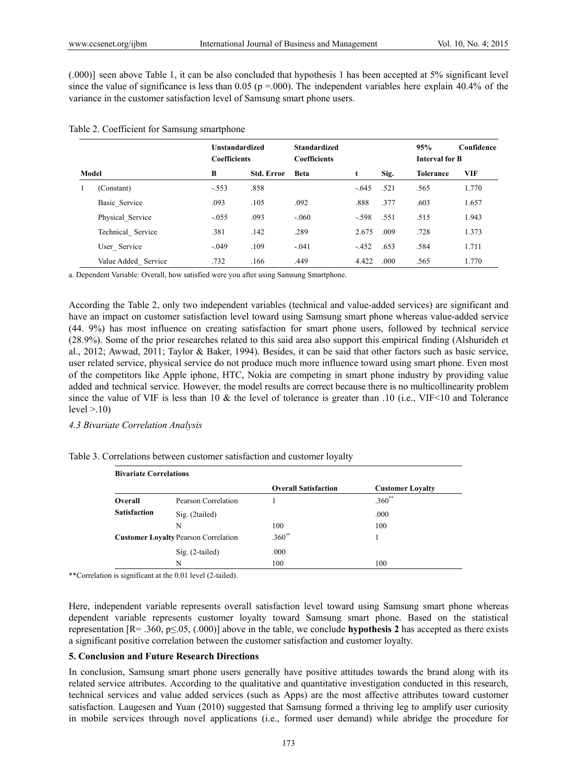(.000)] seen above Table 1, it can be also concluded that hypothesis 1 has been accepted at 5% significant level since the value of significance is less than 0.05 ( $p = .000$ ). The independent variables here explain 40.4% of the variance in the customer satisfaction level of Samsung smart phone users.

|                     | <b>Unstandardized</b><br><b>Coefficients</b> |                   | <b>Standardized</b><br><b>Coefficients</b> |         |      | 95%<br><b>Interval for B</b> | Confidence |
|---------------------|----------------------------------------------|-------------------|--------------------------------------------|---------|------|------------------------------|------------|
| Model               | B                                            | <b>Std. Error</b> | <b>Beta</b>                                | t       | Sig. | Tolerance                    | <b>VIF</b> |
| (Constant)          | $-.553$                                      | .858              |                                            | $-645$  | .521 | .565                         | 1.770      |
| Basic Service       | .093                                         | .105              | .092                                       | .888    | .377 | .603                         | 1.657      |
| Physical Service    | $-.055$                                      | .093              | $-.060$                                    | $-.598$ | .551 | .515                         | 1.943      |
| Technical Service   | .381                                         | .142              | .289                                       | 2.675   | .009 | .728                         | 1.373      |
| User Service        | $-.049$                                      | .109              | $-.041$                                    | $-452$  | .653 | .584                         | 1.711      |
| Value Added Service | .732                                         | .166              | .449                                       | 4.422   | .000 | .565                         | 1.770      |

#### Table 2. Coefficient for Samsung smartphone

a. Dependent Variable: Overall, how satisfied were you after using Samsung Smartphone.

According the Table 2, only two independent variables (technical and value-added services) are significant and have an impact on customer satisfaction level toward using Samsung smart phone whereas value-added service (44. 9%) has most influence on creating satisfaction for smart phone users, followed by technical service (28.9%). Some of the prior researches related to this said area also support this empirical finding (Alshurideh et al., 2012; Awwad, 2011; Taylor & Baker, 1994). Besides, it can be said that other factors such as basic service, user related service, physical service do not produce much more influence toward using smart phone. Even most of the competitors like Apple iphone, HTC, Nokia are competing in smart phone industry by providing value added and technical service. However, the model results are correct because there is no multicollinearity problem since the value of VIF is less than 10 & the level of tolerance is greater than .10 (i.e., VIF<10 and Tolerance  $level > 10$ 

#### *4.3 Bivariate Correlation Analysis*

| Table 3. Correlations between customer satisfaction and customer loyalty |  |  |  |
|--------------------------------------------------------------------------|--|--|--|
|                                                                          |  |  |  |

| <b>Bivariate Correlations</b>               |                     |                             |                         |  |  |  |
|---------------------------------------------|---------------------|-----------------------------|-------------------------|--|--|--|
|                                             |                     | <b>Overall Satisfaction</b> | <b>Customer Loyalty</b> |  |  |  |
| Overall                                     | Pearson Correlation |                             | $.360**$                |  |  |  |
| <b>Satisfaction</b>                         | Sig. (2tailed)      |                             | .000                    |  |  |  |
|                                             | N                   | 100                         | 100                     |  |  |  |
| <b>Customer Loyalty Pearson Correlation</b> |                     | $.360**$                    |                         |  |  |  |
|                                             | $Sig. (2-tailed)$   | .000                        |                         |  |  |  |
|                                             | N                   | 100                         | 100                     |  |  |  |

\*\*Correlation is significant at the 0.01 level (2-tailed).

Here, independent variable represents overall satisfaction level toward using Samsung smart phone whereas dependent variable represents customer loyalty toward Samsung smart phone. Based on the statistical representation [R= .360, p≤.05, (.000)] above in the table, we conclude **hypothesis 2** has accepted as there exists a significant positive correlation between the customer satisfaction and customer loyalty.

#### **5. Conclusion and Future Research Directions**

In conclusion, Samsung smart phone users generally have positive attitudes towards the brand along with its related service attributes. According to the qualitative and quantitative investigation conducted in this research, technical services and value added services (such as Apps) are the most affective attributes toward customer satisfaction. Laugesen and Yuan (2010) suggested that Samsung formed a thriving leg to amplify user curiosity in mobile services through novel applications (i.e., formed user demand) while abridge the procedure for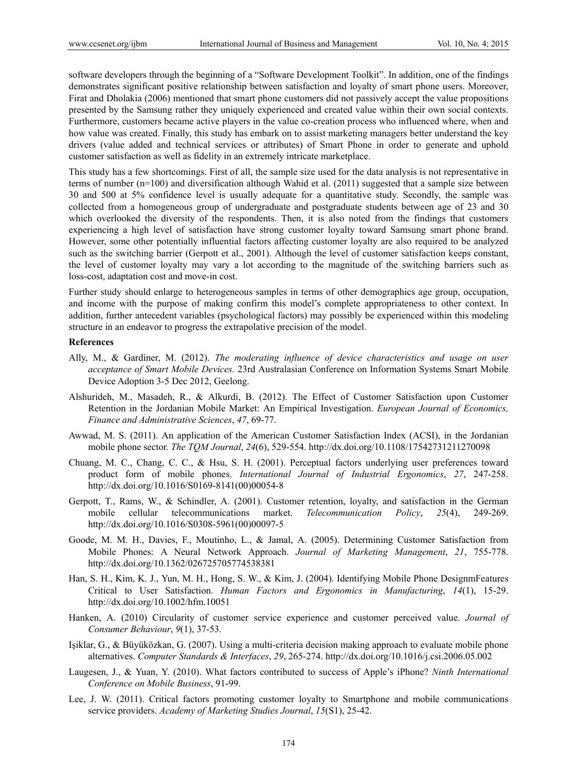software developers through the beginning of a "Software Development Toolkit". In addition, one of the findings demonstrates significant positive relationship between satisfaction and loyalty of smart phone users. Moreover, Firat and Dholakia (2006) mentioned that smart phone customers did not passively accept the value propositions presented by the Samsung rather they uniquely experienced and created value within their own social contexts. Furthermore, customers became active players in the value co-creation process who influenced where, when and how value was created. Finally, this study has embark on to assist marketing managers better understand the key drivers (value added and technical services or attributes) of Smart Phone in order to generate and uphold customer satisfaction as well as fidelity in an extremely intricate marketplace.

This study has a few shortcomings. First of all, the sample size used for the data analysis is not representative in terms of number (n=100) and diversification although Wahid et al. (2011) suggested that a sample size between 30 and 500 at 5% confidence level is usually adequate for a quantitative study. Secondly, the sample was collected from a homogeneous group of undergraduate and postgraduate students between age of 23 and 30 which overlooked the diversity of the respondents. Then, it is also noted from the findings that customers experiencing a high level of satisfaction have strong customer loyalty toward Samsung smart phone brand. However, some other potentially influential factors affecting customer loyalty are also required to be analyzed such as the switching barrier (Gerpott et al., 2001). Although the level of customer satisfaction keeps constant, the level of customer loyalty may vary a lot according to the magnitude of the switching barriers such as loss-cost, adaptation cost and move-in cost.

Further study should enlarge to heterogeneous samples in terms of other demographics age group, occupation, and income with the purpose of making confirm this model's complete appropriateness to other context. In addition, further antecedent variables (psychological factors) may possibly be experienced within this modeling structure in an endeavor to progress the extrapolative precision of the model.

#### **References**

- Ally, M., & Gardiner, M. (2012). *The moderating influence of device characteristics and usage on user acceptance of Smart Mobile Devices.* 23rd Australasian Conference on Information Systems Smart Mobile Device Adoption 3-5 Dec 2012, Geelong.
- Alshurideh, M., Masadeh, R., & Alkurdi, B. (2012). The Effect of Customer Satisfaction upon Customer Retention in the Jordanian Mobile Market: An Empirical Investigation. *European Journal of Economics, Finance and Administrative Sciences*, *47*, 69-77.
- Awwad, M. S. (2011). An application of the American Customer Satisfaction Index (ACSI), in the Jordanian mobile phone sector. *The TQM Journal*, *24*(6), 529-554. http://dx.doi.org/10.1108/17542731211270098
- Chuang, M. C., Chang, C. C., & Hsu, S. H. (2001). Perceptual factors underlying user preferences toward product form of mobile phones. *International Journal of Industrial Ergonomics*, *27*, 247-258. http://dx.doi.org/10.1016/S0169-8141(00)00054-8
- Gerpott, T., Rams, W., & Schindler, A. (2001). Customer retention, loyalty, and satisfaction in the German mobile cellular telecommunications market. *Telecommunication Policy*, *25*(4), 249-269. http://dx.doi.org/10.1016/S0308-5961(00)00097-5
- Goode, M. M. H., Davies, F., Moutinho, L., & Jamal, A. (2005). Determining Customer Satisfaction from Mobile Phones: A Neural Network Approach. *Journal of Marketing Management*, *21*, 755-778. http://dx.doi.org/10.1362/026725705774538381
- Han, S. H., Kim, K. J., Yun, M. H., Hong, S. W., & Kim, J. (2004). Identifying Mobile Phone DesignmFeatures Critical to User Satisfaction. *Human Factors and Ergonomics in Manufacturing*, *14*(1), 15-29. http://dx.doi.org/10.1002/hfm.10051
- Hanken, A. (2010) Circularity of customer service experience and customer perceived value. *Journal of Consumer Behaviour*, *9*(1), 37-53.
- Işiklar, G., & Büyüközkan, G. (2007). Using a multi-criteria decision making approach to evaluate mobile phone alternatives. *Computer Standards & Interfaces*, *29*, 265-274. http://dx.doi.org/10.1016/j.csi.2006.05.002
- Laugesen, J., & Yuan, Y. (2010). What factors contributed to success of Apple's iPhone? *Ninth International Conference on Mobile Business*, 91-99.
- Lee, J. W. (2011). Critical factors promoting customer loyalty to Smartphone and mobile communications service providers. *Academy of Marketing Studies Journal*, *15*(S1), 25-42.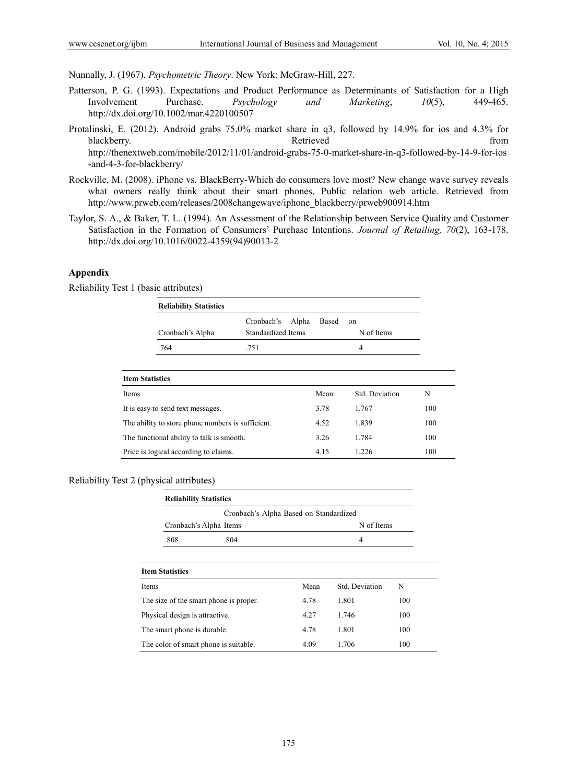Nunnally, J. (1967). *Psychometric Theory*. New York: McGraw-Hill, 227.

- Patterson, P. G. (1993). Expectations and Product Performance as Determinants of Satisfaction for a High Involvement Purchase. *Psychology and Marketing*, *10*(5), 449-465. http://dx.doi.org/10.1002/mar.4220100507
- Protalinski, E. (2012). Android grabs 75.0% market share in q3, followed by 14.9% for ios and 4.3% for blackberry. The contract of the contract of the contract of the contract of the contract of the contract of the contract of the contract of the contract of the contract of the contract of the contract of the contract of th http://thenextweb.com/mobile/2012/11/01/android-grabs-75-0-market-share-in-q3-followed-by-14-9-for-ios -and-4-3-for-blackberry/
- Rockville, M. (2008). iPhone vs. BlackBerry-Which do consumers love most? New change wave survey reveals what owners really think about their smart phones, Public relation web article. Retrieved from http://www.prweb.com/releases/2008changewave/iphone\_blackberry/prweb900914.htm
- Taylor, S. A., & Baker, T. L. (1994). An Assessment of the Relationship between Service Quality and Customer Satisfaction in the Formation of Consumers' Purchase Intentions. *Journal of Retailing, 70*(2), 163-178. http://dx.doi.org/10.1016/0022-4359(94)90013-2

#### **Appendix**

Reliability Test 1 (basic attributes)

l,

| <b>Reliability Statistics</b>                     |                                           |       |                  |     |  |
|---------------------------------------------------|-------------------------------------------|-------|------------------|-----|--|
| Cronbach's Alpha                                  | Cronbach's<br>Alpha<br>Standardized Items | Based | on<br>N of Items |     |  |
| .764<br>.751                                      |                                           |       | 4                |     |  |
| <b>Item Statistics</b>                            |                                           |       |                  |     |  |
|                                                   |                                           | Mean  | Std. Deviation   | N   |  |
| It is easy to send text messages.                 |                                           | 3.78  | 1.767            | 100 |  |
| The ability to store phone numbers is sufficient. | 4.52                                      | 1.839 | 100              |     |  |
| The functional ability to talk is smooth.         |                                           | 3.26  | 1.784            | 100 |  |
| Price is logical according to claims.             |                                           | 4.15  | 1.226            | 100 |  |

### Reliability Test 2 (physical attributes)

| <b>Reliability Statistics</b>  |                                        |      |                |     |  |
|--------------------------------|----------------------------------------|------|----------------|-----|--|
|                                | Cronbach's Alpha Based on Standardized |      |                |     |  |
|                                | Cronbach's Alpha Items                 |      | N of Items     |     |  |
| .808                           | .804                                   |      | 4              |     |  |
|                                |                                        |      |                |     |  |
| <b>Item Statistics</b>         |                                        |      |                |     |  |
| Items                          |                                        | Mean | Std. Deviation | N   |  |
|                                | The size of the smart phone is proper. | 4.78 | 1.801          | 100 |  |
| Physical design is attractive. |                                        | 4.27 | 1.746          | 100 |  |
| The smart phone is durable.    |                                        | 4.78 | 1.801          | 100 |  |
|                                | The color of smart phone is suitable.  | 4.09 | 1.706          | 100 |  |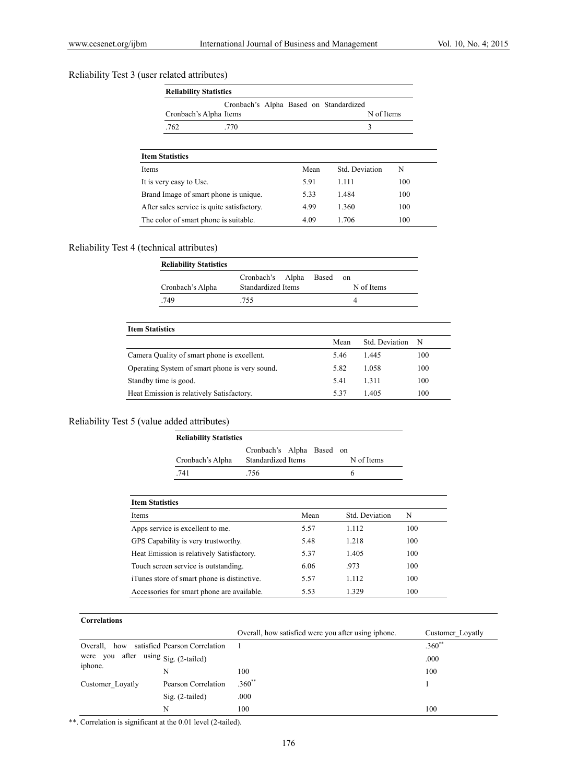## Reliability Test 3 (user related attributes)

| <b>Reliability Statistics</b>                                    |      |                |     |  |  |  |
|------------------------------------------------------------------|------|----------------|-----|--|--|--|
| Cronbach's Alpha Based on Standardized<br>Cronbach's Alpha Items |      | N of Items     |     |  |  |  |
| .762<br>.770                                                     |      | 3              |     |  |  |  |
| <b>Item Statistics</b>                                           |      |                |     |  |  |  |
| Items                                                            | Mean | Std. Deviation | N   |  |  |  |
| It is very easy to Use.                                          | 5.91 | 1.111          | 100 |  |  |  |
| Brand Image of smart phone is unique.                            | 5.33 | 1.484          | 100 |  |  |  |
| After sales service is quite satisfactory.                       | 4.99 | 1.360          | 100 |  |  |  |
| The color of smart phone is suitable.                            | 4.09 | 1.706          | 100 |  |  |  |

## Reliability Test 4 (technical attributes)

| <b>Reliability Statistics</b>                  |                                             |                        |                |     |  |
|------------------------------------------------|---------------------------------------------|------------------------|----------------|-----|--|
| Cronbach's Alpha                               | Cronbach's<br>Alpha<br>Standardized Items   | Based<br><sub>on</sub> | N of Items     |     |  |
| .749                                           | .755                                        | 4                      |                |     |  |
|                                                |                                             |                        |                |     |  |
| <b>Item Statistics</b>                         |                                             |                        |                |     |  |
|                                                |                                             | Mean                   | Std. Deviation | N   |  |
|                                                | Camera Quality of smart phone is excellent. |                        |                | 100 |  |
| Operating System of smart phone is very sound. | 5.82                                        | 1.058                  | 100            |     |  |

Standby time is good. 5.41 1.311 100 Heat Emission is relatively Satisfactory. 5.37 1.405 100

## Reliability Test 5 (value added attributes)

|                                           | <b>Reliability Statistics</b>               |                                                 |      |                  |     |
|-------------------------------------------|---------------------------------------------|-------------------------------------------------|------|------------------|-----|
|                                           | Cronbach's Alpha                            | Cronbach's Alpha<br>Based<br>Standardized Items |      | on<br>N of Items |     |
|                                           | .741                                        | .756                                            |      | 6                |     |
| <b>Item Statistics</b>                    |                                             |                                                 |      |                  |     |
| Items                                     |                                             |                                                 | Mean | Std. Deviation   | N   |
|                                           | Apps service is excellent to me.            |                                                 | 5.57 | 1.112            | 100 |
| GPS Capability is very trustworthy.       |                                             |                                                 | 5.48 | 1.218            | 100 |
| Heat Emission is relatively Satisfactory. |                                             |                                                 | 5.37 | 1.405            | 100 |
|                                           | Touch screen service is outstanding.        |                                                 | 6.06 | .973             | 100 |
|                                           | iTunes store of smart phone is distinctive. |                                                 | 5.57 | 1.112            | 100 |

## **Correlations**

|                                                  |                     | Overall, how satisfied were you after using iphone. | Customer Loyatly |
|--------------------------------------------------|---------------------|-----------------------------------------------------|------------------|
| satisfied Pearson Correlation<br>Overall,<br>how |                     |                                                     | $.360^{**}$      |
| after using $Sig. (2-tailed)$<br>were you        |                     |                                                     | .000             |
| iphone.                                          | N                   | 100                                                 | 100              |
| Customer Loyatly                                 | Pearson Correlation | $.360**$                                            |                  |
|                                                  | $Sig. (2-tailed)$   | .000                                                |                  |
|                                                  | N                   | 100                                                 | 100              |

Accessories for smart phone are available. 5.53 1.329 100

\*\*. Correlation is significant at the 0.01 level (2-tailed).